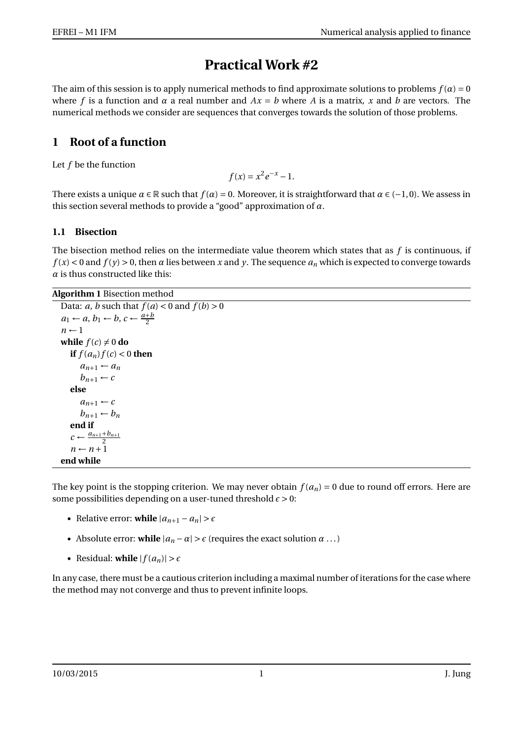# **Practical Work #2**

The aim of this session is to apply numerical methods to find approximate solutions to problems  $f(\alpha) = 0$ where *f* is a function and  $\alpha$  a real number and  $Ax = b$  where *A* is a matrix, *x* and *b* are vectors. The numerical methods we consider are sequences that converges towards the solution of those problems.

# **1 Root of a function**

Let *f* be the function

 $f(x) = x^2 e^{-x} - 1.$ 

There exists a unique  $\alpha \in \mathbb{R}$  such that  $f(\alpha) = 0$ . Moreover, it is straightforward that  $\alpha \in (-1,0)$ . We assess in this section several methods to provide a "good" approximation of *α*.

## **1.1 Bisection**

The bisection method relies on the intermediate value theorem which states that as *f* is continuous, if  $f(x) < 0$  and  $f(y) > 0$ , then  $\alpha$  lies between x and y. The sequence  $a_n$  which is expected to converge towards  $\alpha$  is thus constructed like this:

**Algorithm 1** Bisection method

```
Data: a, b such that f(a) < 0 and f(b) > 0a_1 \leftarrow a, b_1 \leftarrow b, c \leftarrow \frac{a+b}{2}n \leftarrow 1while f(c) \neq 0 do
if f(a_n) f(c) < 0 then
    a_{n+1} \leftarrow a_nb_{n+1} \leftarrow celse
    a_{n+1} \leftarrow cb_{n+1} \leftarrow b_nend if
c \leftarrow \frac{a_{n+1} + b_{n+1}}{2}n \leftarrow n+1end while
```
The key point is the stopping criterion. We may never obtain  $f(a_n) = 0$  due to round off errors. Here are some possibilities depending on a user-tuned threshold  $\epsilon > 0$ :

- Relative error: **while**  $|a_{n+1} a_n| > \epsilon$
- Absolute error: while  $|a_n \alpha| > \epsilon$  (requires the exact solution  $\alpha \dots$ )
- Residual: **while**  $|f(a_n)| > \epsilon$

In any case, there must be a cautious criterion including a maximal number of iterations for the case where the method may not converge and thus to prevent infinite loops.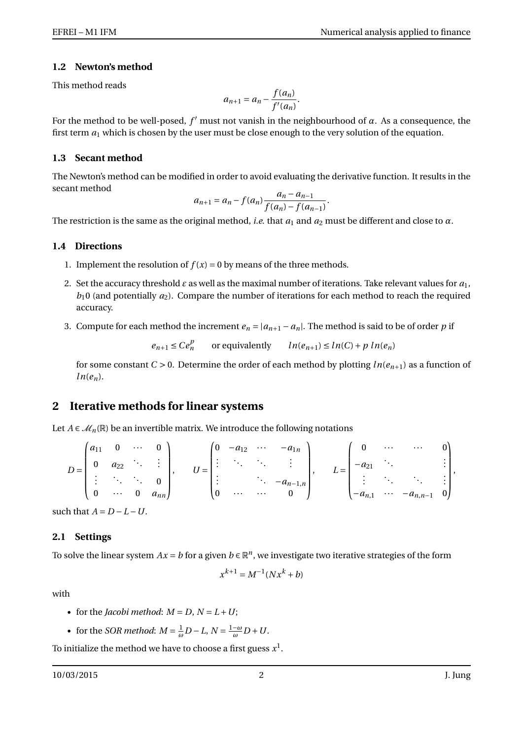#### **1.2 Newton's method**

This method reads

$$
a_{n+1} = a_n - \frac{f(a_n)}{f'(a_n)}.
$$

For the method to be well-posed,  $f'$  must not vanish in the neighbourhood of  $\alpha$ . As a consequence, the first term  $a_1$  which is chosen by the user must be close enough to the very solution of the equation.

#### **1.3 Secant method**

The Newton's method can be modified in order to avoid evaluating the derivative function. It results in the secant method

$$
a_{n+1} = a_n - f(a_n) \frac{a_n - a_{n-1}}{f(a_n) - f(a_{n-1})}.
$$

The restriction is the same as the original method, *i.e.* that  $a_1$  and  $a_2$  must be different and close to  $\alpha$ .

#### **1.4 Directions**

- 1. Implement the resolution of  $f(x) = 0$  by means of the three methods.
- 2. Set the accuracy threshold  $\varepsilon$  as well as the maximal number of iterations. Take relevant values for  $a_1$ ,  $b_1$ 0 (and potentially  $a_2$ ). Compare the number of iterations for each method to reach the required accuracy.
- 3. Compute for each method the increment  $e_n = |a_{n+1} a_n|$ . The method is said to be of order *p* if

 $e_{n+1} \leq Ce_n^p$ or equivalently  $ln(e_{n+1}) \leq ln(C) + p ln(e_n)$ 

for some constant  $C > 0$ . Determine the order of each method by plotting  $ln(e_{n+1})$  as a function of  $ln(e_n)$ .

## **2 Iterative methods for linear systems**

Let *A* ∈  $\mathcal{M}_n(\mathbb{R})$  be an invertible matrix. We introduce the following notations

$$
D = \begin{pmatrix} a_{11} & 0 & \cdots & 0 \\ 0 & a_{22} & \ddots & \vdots \\ \vdots & \ddots & \ddots & 0 \\ 0 & \cdots & 0 & a_{nn} \end{pmatrix}, \qquad U = \begin{pmatrix} 0 & -a_{12} & \cdots & -a_{1n} \\ \vdots & \ddots & \ddots & \vdots \\ \vdots & \ddots & -a_{n-1,n} \\ 0 & \cdots & \cdots & 0 \end{pmatrix}, \qquad L = \begin{pmatrix} 0 & \cdots & \cdots & 0 \\ -a_{21} & \ddots & & \vdots \\ \vdots & \ddots & \ddots & \vdots \\ -a_{n,1} & \cdots & -a_{n,n-1} & 0 \end{pmatrix},
$$

such that  $A = D - L - U$ .

#### **2.1 Settings**

To solve the linear system  $Ax = b$  for a given  $b \in \mathbb{R}^n$ , we investigate two iterative strategies of the form

$$
x^{k+1} = M^{-1}(Nx^k + b)
$$

with

- for the *Jacobi method*:  $M = D$ ,  $N = L + U$ ;
- for the *SOR method*:  $M = \frac{1}{\omega}D L$ ,  $N = \frac{1-\omega}{\omega}D + U$ .

To initialize the method we have to choose a first guess  $x^1.$